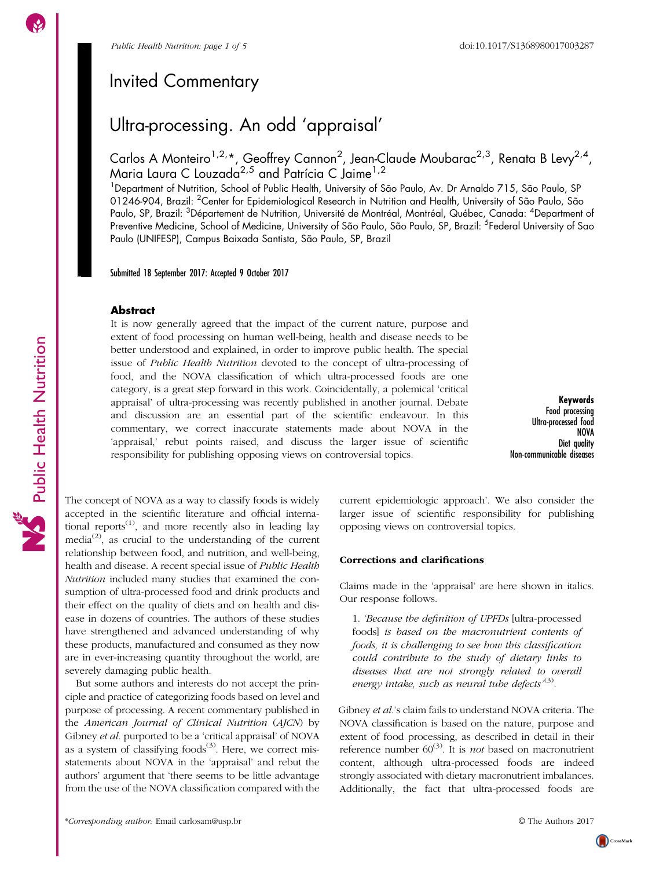Public Health Nutrition

Public Health Nutrition

## Invited Commentary

# Ultra-processing. An odd 'appraisal'

Carlos A Monteiro<sup>1,2,</sup>\*, Geoffrey Cannon<sup>2</sup>, Jean-Claude Moubarac<sup>2,3</sup>, Renata B Levy<sup>2,4</sup>, Maria Laura C Louzada<sup>2,5</sup> and Patrícia C Jaime<sup>1,2</sup>

<sup>1</sup>Department of Nutrition, School of Public Health, University of São Paulo, Av. Dr Arnaldo 715, São Paulo, SP 01246-904, Brazil: <sup>2</sup>Center for Epidemiological Research in Nutrition and Health, University of São Paulo, São Paulo, SP, Brazil: <sup>3</sup>Département de Nutrition, Université de Montréal, Montréal, Québec, Canada: <sup>4</sup>Department of Preventive Medicine, School of Medicine, University of São Paulo, São Paulo, SP, Brazil: <sup>5</sup>Federal University of Sao Paulo (UNIFESP), Campus Baixada Santista, São Paulo, SP, Brazil

Submitted 18 September 2017: Accepted 9 October 2017

## **Abstract**

It is now generally agreed that the impact of the current nature, purpose and extent of food processing on human well-being, health and disease needs to be better understood and explained, in order to improve public health. The special issue of Public Health Nutrition devoted to the concept of ultra-processing of food, and the NOVA classification of which ultra-processed foods are one category, is a great step forward in this work. Coincidentally, a polemical 'critical appraisal' of ultra-processing was recently published in another journal. Debate and discussion are an essential part of the scientific endeavour. In this commentary, we correct inaccurate statements made about NOVA in the 'appraisal,' rebut points raised, and discuss the larger issue of scientific responsibility for publishing opposing views on controversial topics.

Keywords Food processing Ultra-processed food NOVA Diet avality Non-communicable diseases

The concept of NOVA as a way to classify foods is widely accepted in the scientific literature and official international reports $^{(1)}$  $^{(1)}$  $^{(1)}$ , and more recently also in leading lay media<sup>([2](#page-3-0))</sup>, as crucial to the understanding of the current relationship between food, and nutrition, and well-being, health and disease. A recent special issue of Public Health Nutrition included many studies that examined the consumption of ultra-processed food and drink products and their effect on the quality of diets and on health and disease in dozens of countries. The authors of these studies have strengthened and advanced understanding of why these products, manufactured and consumed as they now are in ever-increasing quantity throughout the world, are severely damaging public health.

But some authors and interests do not accept the principle and practice of categorizing foods based on level and purpose of processing. A recent commentary published in the American Journal of Clinical Nutrition (AJCN) by Gibney et al. purported to be a 'critical appraisal' of NOVA as a system of classifying  $foods^{(3)}$  $foods^{(3)}$  $foods^{(3)}$ . Here, we correct misstatements about NOVA in the 'appraisal' and rebut the authors' argument that 'there seems to be little advantage from the use of the NOVA classification compared with the current epidemiologic approach'. We also consider the larger issue of scientific responsibility for publishing opposing views on controversial topics.

## Corrections and clarifications

Claims made in the 'appraisal' are here shown in italics. Our response follows.

1. 'Because the definition of UPFDs [ultra-processed foods] is based on the macronutrient contents of foods, it is challenging to see how this classification could contribute to the study of dietary links to diseases that are not strongly related to overall energy intake, such as neural tube defects'<sup>([3\)](#page-3-0)</sup>.

Gibney et al.'s claim fails to understand NOVA criteria. The NOVA classification is based on the nature, purpose and extent of food processing, as described in detail in their reference number  $60^{(3)}$  $60^{(3)}$  $60^{(3)}$ . It is *not* based on macronutrient content, although ultra-processed foods are indeed strongly associated with dietary macronutrient imbalances. Additionally, the fact that ultra-processed foods are

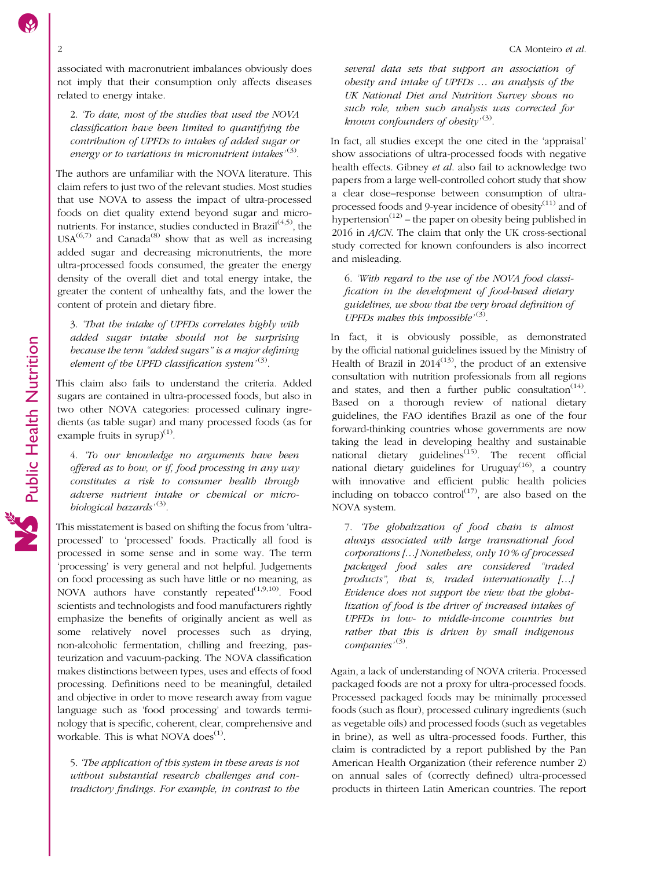associated with macronutrient imbalances obviously does not imply that their consumption only affects diseases related to energy intake.

2. 'To date, most of the studies that used the NOVA classification have been limited to quantifying the contribution of UPFDs to intakes of added sugar or energy or to variations in micronutrient intakes' $^{(3)}$  $^{(3)}$  $^{(3)}$ .

The authors are unfamiliar with the NOVA literature. This claim refers to just two of the relevant studies. Most studies that use NOVA to assess the impact of ultra-processed foods on diet quality extend beyond sugar and micronutrients. For instance, studies conducted in Brazil $(4,5)$ , the  $USA^{(6,7)}$  $USA^{(6,7)}$  $USA^{(6,7)}$  and Canada<sup>[\(8\)](#page-3-0)</sup> show that as well as increasing added sugar and decreasing micronutrients, the more ultra-processed foods consumed, the greater the energy density of the overall diet and total energy intake, the greater the content of unhealthy fats, and the lower the content of protein and dietary fibre.

3. 'That the intake of UPFDs correlates highly with added sugar intake should not be surprising because the term "added sugars" is a major defining element of the UPFD classification system<sup>,[\(3\)](#page-3-0)</sup>.

This claim also fails to understand the criteria. Added sugars are contained in ultra-processed foods, but also in two other NOVA categories: processed culinary ingredients (as table sugar) and many processed foods (as for example fruits in syrup) $^{(1)}$  $^{(1)}$  $^{(1)}$ .

4. 'To our knowledge no arguments have been offered as to how, or if, food processing in any way constitutes a risk to consumer health through adverse nutrient intake or chemical or micro-biological hazards'<sup>[\(3](#page-3-0))</sup>.

This misstatement is based on shifting the focus from 'ultraprocessed' to 'processed' foods. Practically all food is processed in some sense and in some way. The term 'processing' is very general and not helpful. Judgements on food processing as such have little or no meaning, as NOVA authors have constantly repeated $(1,9,10)$  $(1,9,10)$  $(1,9,10)$  $(1,9,10)$ . Food scientists and technologists and food manufacturers rightly emphasize the benefits of originally ancient as well as some relatively novel processes such as drying, non-alcoholic fermentation, chilling and freezing, pasteurization and vacuum-packing. The NOVA classification makes distinctions between types, uses and effects of food processing. Definitions need to be meaningful, detailed and objective in order to move research away from vague language such as 'food processing' and towards terminology that is specific, coherent, clear, comprehensive and workable. This is what NOVA does<sup>([1](#page-3-0))</sup>.

5. 'The application of this system in these areas is not without substantial research challenges and contradictory findings. For example, in contrast to the

several data sets that support an association of obesity and intake of UPFDs … an analysis of the UK National Diet and Nutrition Survey shows no such role, when such analysis was corrected for known confounders of obesity'<sup>[\(3\)](#page-3-0)</sup>.

In fact, all studies except the one cited in the 'appraisal' show associations of ultra-processed foods with negative health effects. Gibney et al. also fail to acknowledge two papers from a large well-controlled cohort study that show a clear dose–response between consumption of ultraprocessed foods and 9-year incidence of obesity $(11)$  $(11)$  and of hypertension<sup> $(12)$  $(12)$ </sup> – the paper on obesity being published in 2016 in AJCN. The claim that only the UK cross-sectional study corrected for known confounders is also incorrect and misleading.

6. 'With regard to the use of the NOVA food classification in the development of food-based dietary guidelines, we show that the very broad definition of UPFDs makes this impossible<sup> $(3)$  $(3)$  $(3)$ </sup>.

In fact, it is obviously possible, as demonstrated by the official national guidelines issued by the Ministry of Health of Brazil in  $2014^{(13)}$  $2014^{(13)}$  $2014^{(13)}$ , the product of an extensive consultation with nutrition professionals from all regions and states, and then a further public consultation<sup> $(14)$  $(14)$ </sup>. Based on a thorough review of national dietary guidelines, the FAO identifies Brazil as one of the four forward-thinking countries whose governments are now taking the lead in developing healthy and sustainable national dietary guidelines<sup> $(15)$  $(15)$ </sup>. The recent official national dietary guidelines for Uruguay<sup>[\(16](#page-3-0))</sup>, a country with innovative and efficient public health policies including on tobacco control<sup>([17\)](#page-3-0)</sup>, are also based on the NOVA system.

7. 'The globalization of food chain is almost always associated with large transnational food corporations […] Nonetheless, only 10 % of processed packaged food sales are considered "traded products", that is, traded internationally […] Evidence does not support the view that the globalization of food is the driver of increased intakes of UPFDs in low- to middle-income countries but rather that this is driven by small indigenous companies'<sup>[\(3\)](#page-3-0)</sup>.

Again, a lack of understanding of NOVA criteria. Processed packaged foods are not a proxy for ultra-processed foods. Processed packaged foods may be minimally processed foods (such as flour), processed culinary ingredients (such as vegetable oils) and processed foods (such as vegetables in brine), as well as ultra-processed foods. Further, this claim is contradicted by a report published by the Pan American Health Organization (their reference number 2) on annual sales of (correctly defined) ultra-processed products in thirteen Latin American countries. The report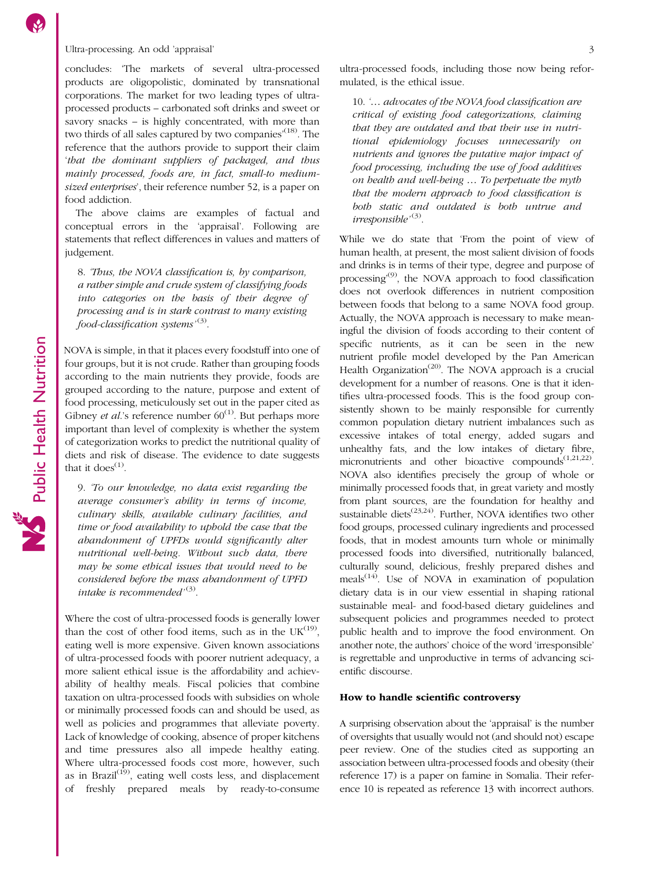concludes: 'The markets of several ultra-processed products are oligopolistic, dominated by transnational corporations. The market for two leading types of ultraprocessed products – carbonated soft drinks and sweet or savory snacks – is highly concentrated, with more than two thirds of all sales captured by two companies<sup>,[\(18](#page-3-0))</sup>. The reference that the authors provide to support their claim 'that the dominant suppliers of packaged, and thus mainly processed, foods are, in fact, small-to mediumsized enterprises', their reference number 52, is a paper on food addiction.

The above claims are examples of factual and conceptual errors in the 'appraisal'. Following are statements that reflect differences in values and matters of judgement.

8. 'Thus, the NOVA classification is, by comparison, a rather simple and crude system of classifying foods into categories on the basis of their degree of processing and is in stark contrast to many existing food-classification systems'<sup>([3](#page-3-0))</sup>.

NOVA is simple, in that it places every foodstuff into one of four groups, but it is not crude. Rather than grouping foods according to the main nutrients they provide, foods are grouped according to the nature, purpose and extent of food processing, meticulously set out in the paper cited as Gibney *et al.*'s reference number  $60^{(1)}$  $60^{(1)}$  $60^{(1)}$ . But perhaps more important than level of complexity is whether the system of categorization works to predict the nutritional quality of diets and risk of disease. The evidence to date suggests that it does $<sup>(1)</sup>$  $<sup>(1)</sup>$  $<sup>(1)</sup>$ .</sup>

9. 'To our knowledge, no data exist regarding the average consumer's ability in terms of income, culinary skills, available culinary facilities, and time or food availability to uphold the case that the abandonment of UPFDs would significantly alter nutritional well-being. Without such data, there may be some ethical issues that would need to be considered before the mass abandonment of UPFD intake is recommended<sup>,([3](#page-3-0))</sup>.

Where the cost of ultra-processed foods is generally lower than the cost of other food items, such as in the  $UK^{(19)}$  $UK^{(19)}$  $UK^{(19)}$ , eating well is more expensive. Given known associations of ultra-processed foods with poorer nutrient adequacy, a more salient ethical issue is the affordability and achievability of healthy meals. Fiscal policies that combine taxation on ultra-processed foods with subsidies on whole or minimally processed foods can and should be used, as well as policies and programmes that alleviate poverty. Lack of knowledge of cooking, absence of proper kitchens and time pressures also all impede healthy eating. Where ultra-processed foods cost more, however, such as in Brazil<sup> $(19)$  $(19)$ </sup>, eating well costs less, and displacement of freshly prepared meals by ready-to-consume

ultra-processed foods, including those now being reformulated, is the ethical issue.

10. '... advocates of the NOVA food classification are critical of existing food categorizations, claiming that they are outdated and that their use in nutritional epidemiology focuses unnecessarily on nutrients and ignores the putative major impact of food processing, including the use of food additives on health and well-being … To perpetuate the myth that the modern approach to food classification is both static and outdated is both untrue and irresponsible<sup>,([3](#page-3-0))</sup>.

While we do state that 'From the point of view of human health, at present, the most salient division of foods and drinks is in terms of their type, degree and purpose of processing<sup>([9](#page-3-0))</sup>, the NOVA approach to food classification does not overlook differences in nutrient composition between foods that belong to a same NOVA food group. Actually, the NOVA approach is necessary to make meaningful the division of foods according to their content of specific nutrients, as it can be seen in the new nutrient profile model developed by the Pan American Health Organization<sup>[\(20](#page-4-0))</sup>. The NOVA approach is a crucial development for a number of reasons. One is that it identifies ultra-processed foods. This is the food group consistently shown to be mainly responsible for currently common population dietary nutrient imbalances such as excessive intakes of total energy, added sugars and unhealthy fats, and the low intakes of dietary fibre, micronutrients and other bioactive compounds<sup>[\(1](#page-3-0)[,21,22](#page-4-0))</sup>. NOVA also identifies precisely the group of whole or minimally processed foods that, in great variety and mostly from plant sources, are the foundation for healthy and sustainable diets<sup> $(23,24)$ </sup>. Further, NOVA identifies two other food groups, processed culinary ingredients and processed foods, that in modest amounts turn whole or minimally processed foods into diversified, nutritionally balanced, culturally sound, delicious, freshly prepared dishes and meals<sup> $(14)$  $(14)$  $(14)$ </sup>. Use of NOVA in examination of population dietary data is in our view essential in shaping rational sustainable meal- and food-based dietary guidelines and subsequent policies and programmes needed to protect public health and to improve the food environment. On another note, the authors' choice of the word 'irresponsible' is regrettable and unproductive in terms of advancing scientific discourse.

#### How to handle scientific controversy

A surprising observation about the 'appraisal' is the number of oversights that usually would not (and should not) escape peer review. One of the studies cited as supporting an association between ultra-processed foods and obesity (their reference 17) is a paper on famine in Somalia. Their reference 10 is repeated as reference 13 with incorrect authors.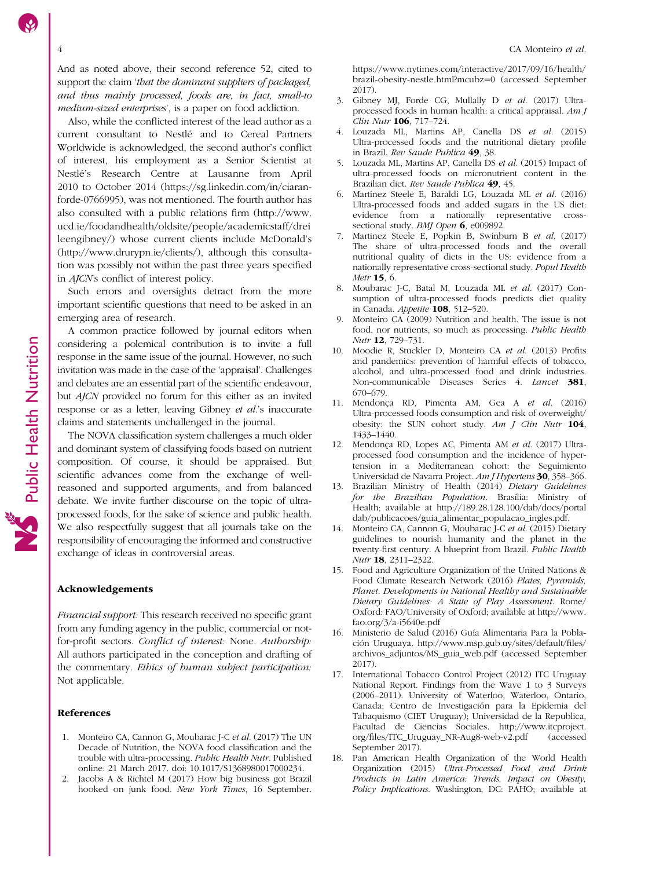Public Health Nutrition

Public Health Nutrition

<span id="page-3-0"></span>And as noted above, their second reference 52, cited to support the claim 'that the dominant suppliers of packaged, and thus mainly processed, foods are, in fact, small-to medium-sized enterprises', is a paper on food addiction.

Also, while the conflicted interest of the lead author as a current consultant to Nestlé and to Cereal Partners Worldwide is acknowledged, the second author's conflict of interest, his employment as a Senior Scientist at Nestlé's Research Centre at Lausanne from April 2010 to October 2014 [\(https://sg.linkedin.com/in/ciaran](https://sg.linkedin.com/in/ciaran-forde-0766995)[forde-0766995\)](https://sg.linkedin.com/in/ciaran-forde-0766995), was not mentioned. The fourth author has also consulted with a public relations firm ([http://www.](http://www.ucd.ie/foodandhealth/oldsite/people/academicstaff/dreileengibney/) [ucd.ie/foodandhealth/oldsite/people/academicstaff/drei](http://www.ucd.ie/foodandhealth/oldsite/people/academicstaff/dreileengibney/) [leengibney/\)](http://www.ucd.ie/foodandhealth/oldsite/people/academicstaff/dreileengibney/) whose current clients include McDonald's ([http://www.drurypn.ie/clients/\)](http://www.drurypn.ie/clients/), although this consultation was possibly not within the past three years specified in AJCN's conflict of interest policy.

Such errors and oversights detract from the more important scientific questions that need to be asked in an emerging area of research.

A common practice followed by journal editors when considering a polemical contribution is to invite a full response in the same issue of the journal. However, no such invitation was made in the case of the 'appraisal'. Challenges and debates are an essential part of the scientific endeavour, but AJCN provided no forum for this either as an invited response or as a letter, leaving Gibney et al.'s inaccurate claims and statements unchallenged in the journal.

The NOVA classification system challenges a much older and dominant system of classifying foods based on nutrient composition. Of course, it should be appraised. But scientific advances come from the exchange of wellreasoned and supported arguments, and from balanced debate. We invite further discourse on the topic of ultraprocessed foods, for the sake of science and public health. We also respectfully suggest that all journals take on the responsibility of encouraging the informed and constructive exchange of ideas in controversial areas.

#### Acknowledgements

Financial support: This research received no specific grant from any funding agency in the public, commercial or notfor-profit sectors. Conflict of interest: None. Authorship: All authors participated in the conception and drafting of the commentary. Ethics of human subject participation: Not applicable.

### References

- 1. Monteiro CA, Cannon G, Moubarac J-C et al. (2017) The UN Decade of Nutrition, the NOVA food classification and the trouble with ultra-processing. Public Health Nutr. Published online: 21 March 2017. doi: 10.1017/S1368980017000234.
- 2. Jacobs A & Richtel M (2017) How big business got Brazil hooked on junk food. New York Times, 16 September.

[https://www.nytimes.com/interactive/2017/09/16/health/](https://www.nytimes.com/interactive/2017�/�09/16/health/brazil-obesity-nestle.html?mcubz=0) [brazil-obesity-nestle.html?mcubz](https://www.nytimes.com/interactive/2017�/�09/16/health/brazil-obesity-nestle.html?mcubz=0)=0 (accessed September 2017).

- 3. Gibney MJ, Forde CG, Mullally D et al. (2017) Ultraprocessed foods in human health: a critical appraisal. Am J Clin Nutr 106, 717–724.
- 4. Louzada ML, Martins AP, Canella DS et al. (2015) Ultra-processed foods and the nutritional dietary profile in Brazil. Rev Saude Publica 49, 38.
- 5. Louzada ML, Martins AP, Canella DS et al. (2015) Impact of ultra-processed foods on micronutrient content in the Brazilian diet. Rev Saude Publica 49, 45.
- 6. Martinez Steele E, Baraldi LG, Louzada ML et al. (2016) Ultra-processed foods and added sugars in the US diet: evidence from a nationally representative crosssectional study. BMJ Open 6, e009892.
- 7. Martinez Steele E, Popkin B, Swinburn B et al. (2017) The share of ultra-processed foods and the overall nutritional quality of diets in the US: evidence from a nationally representative cross-sectional study. Popul Health Metr 15, 6.
- 8. Moubarac J-C, Batal M, Louzada ML et al. (2017) Consumption of ultra-processed foods predicts diet quality in Canada. Appetite 108, 512–520.
- 9. Monteiro CA (2009) Nutrition and health. The issue is not food, nor nutrients, so much as processing. Public Health Nutr 12, 729–731.
- 10. Moodie R, Stuckler D, Monteiro CA et al. (2013) Profits and pandemics: prevention of harmful effects of tobacco, alcohol, and ultra-processed food and drink industries. Non-communicable Diseases Series 4. Lancet 381, 670–679.
- 11. Mendonça RD, Pimenta AM, Gea A et al. (2016) Ultra-processed foods consumption and risk of overweight/ obesity: the SUN cohort study. Am J Clin Nutr 104, 1433–1440.
- 12. Mendonça RD, Lopes AC, Pimenta AM et al. (2017) Ultraprocessed food consumption and the incidence of hypertension in a Mediterranean cohort: the Seguimiento Universidad de Navarra Project. Am J Hypertens 30, 358–366.
- 13. Brazilian Ministry of Health (2014) Dietary Guidelines for the Brazilian Population. Brasília: Ministry of Health; available at [http://189.28.128.100/dab/docs/portal](http://189.28.128.100/dab/docs/portaldab/publicacoes/guia_alimentar_populacao_ingles.pdf) [dab/publicacoes/guia\\_alimentar\\_populacao\\_ingles.pdf.](http://189.28.128.100/dab/docs/portaldab/publicacoes/guia_alimentar_populacao_ingles.pdf)
- 14. Monteiro CA, Cannon G, Moubarac J-C et al. (2015) Dietary guidelines to nourish humanity and the planet in the twenty-first century. A blueprint from Brazil. Public Health Nutr 18, 2311–2322.
- 15. Food and Agriculture Organization of the United Nations & Food Climate Research Network (2016) Plates, Pyramids, Planet. Developments in National Healthy and Sustainable Dietary Guidelines: A State of Play Assessment. Rome/ Oxford: FAO/University of Oxford; available at [http://www.](http://www.fao.org/3/a-i5640e.pdf) [fao.org/3/a-i5640e.pdf](http://www.fao.org/3/a-i5640e.pdf)
- 16. Ministerio de Salud (2016) Guía Alimentaria Para la Población Uruguaya. [http://www.msp.gub.uy/sites/default/](http://www.msp.gub.uy/sites/default/files/archivos_adjuntos/MS_guia_web.pdf)files/ [archivos\\_adjuntos/MS\\_guia\\_web.pdf](http://www.msp.gub.uy/sites/default/files/archivos_adjuntos/MS_guia_web.pdf) (accessed September 2017).
- 17. International Tobacco Control Project (2012) ITC Uruguay National Report. Findings from the Wave 1 to 3 Surveys (2006–2011). University of Waterloo, Waterloo, Ontario, Canada; Centro de Investigación para la Epidemia del Tabaquismo (CIET Uruguay); Universidad de la Republica, Facultad de Ciencias Sociales. [http://www.itcproject.](http://www.itcproject.org/files/ITC_Uruguay_NR-Aug8-web-v2.pdf) org/fi[les/ITC\\_Uruguay\\_NR-Aug8-web-v2.pdf](http://www.itcproject.org/files/ITC_Uruguay_NR-Aug8-web-v2.pdf) (accessed September 2017).
- 18. Pan American Health Organization of the World Health Organization (2015) Ultra-Processed Food and Drink Products in Latin America: Trends, Impact on Obesity, Policy Implications. Washington, DC: PAHO; available at